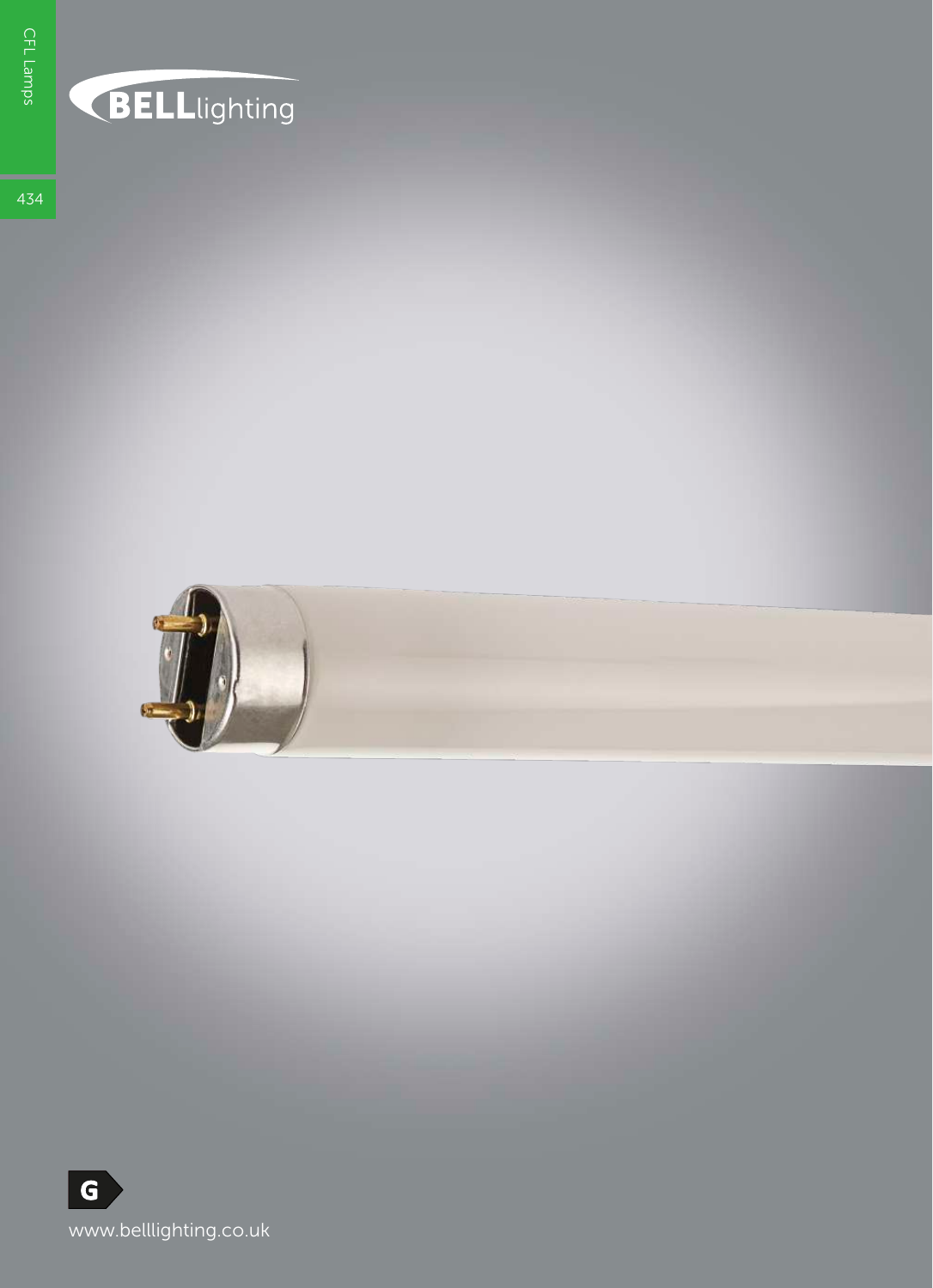## **BELL**lighting

434